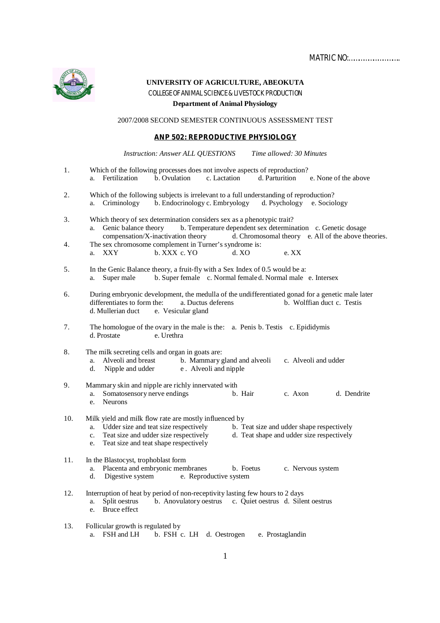MATRIC NO:…………………………..



**UNIVERSITY OF AGRICULTURE, ABEOKUTA** COLLEGE OF ANIMAL SCIENCE & LIVESTOCK PRODUCTION **Department of Animal Physiology**

2007/2008 SECOND SEMESTER CONTINUOUS ASSESSMENT TEST

## **ANP 502: REPRODUCTIVE PHYSIOLOGY**

*Instruction: Answer ALL QUESTIONS Time allowed: 30 Minutes*

- 1. Which of the following processes does not involve aspects of reproduction?<br>
a. Fertilization b. Ovulation c. Lactation d. Parturition d. Parturition e. None of the above 2. Which of the following subjects is irrelevant to a full understanding of reproduction? a. Criminology b. Endocrinology c. Embryology d. Psychology e. Sociology 3. Which theory of sex determination considers sex as a phenotypic trait? a. Genic balance theory b. Temperature dependent sex determination c. Genetic dosage compensation/X-inactivation theory d. Chromosomal theory e. All of the above theory d. Chromosomal theory e. All of the above theories. 4. The sex chromosome complement in Turner's syndrome is: a. XXY b. XXX c. YO d. XO e. XX 5. In the Genic Balance theory, a fruit-fly with a Sex Index of 0.5 would be a: a. Super male b. Super female c. Normal femaled. Normal male e. Intersex 6. During embryonic development, the medulla of the undifferentiated gonad for a genetic male later differentiates to form the: a. Ductus deferens b. Wolffian duct c. Testis d. Mullerian duct e. Vesicular gland 7. The homologue of the ovary in the male is the: a. Penis b. Testis c. Epididymis d. Prostate 8. The milk secreting cells and organ in goats are:<br>a. Alveoli and breast b. Mammary g b. Mammary gland and alveoli c. Alveoli and udder e. Alveoli and nipple d. Nipple and udder 9. Mammary skin and nipple are richly innervated with<br>a. Somatosensory nerve endings b. Hair a. Somatosensory nerve endings b. Hair c. Axon d. Dendrite e. Neurons 10. Milk yield and milk flow rate are mostly influenced by<br>a. Udder size and teat size respectively b. T a. Udder size and teat size respectively<br>c. Teat size and udder shape and udder size respectively<br>d. Teat shape and udder size respectively d. Teat shape and udder size respectively e. Teat size and teat shape respectively 11. In the Blastocyst, trophoblast form a. Placenta and embryonic membranes b. Foetus c. Nervous system d. Digestive system e. Reproductive system e. Reproductive system
- 12. Interruption of heat by period of non-receptivity lasting few hours to 2 days<br>a. Split oestrus b. Anovulatory oestrus c. Quiet oestrus d. Sile
	- b. Anovulatory oestrus c. Quiet oestrus d. Silent oestrus e. Bruce effect
- 13. Follicular growth is regulated by a. FSH and LH b. FSH c. LH d. Oestrogen e. Prostaglandin